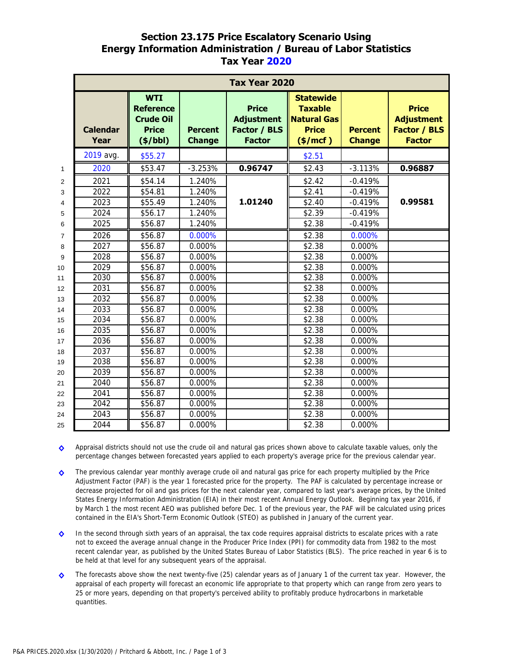## **Section 23.175 Price Escalatory Scenario Using Energy Information Administration / Bureau of Labor Statistics Tax Year 2020**

|                | <b>Tax Year 2020</b>           |                                                                                |                                 |                                                                    |                                                                                       |                                 |                                                                           |
|----------------|--------------------------------|--------------------------------------------------------------------------------|---------------------------------|--------------------------------------------------------------------|---------------------------------------------------------------------------------------|---------------------------------|---------------------------------------------------------------------------|
|                | <b>Calendar</b><br><b>Year</b> | <b>WTI</b><br><b>Reference</b><br><b>Crude Oil</b><br><b>Price</b><br>(\$/bbl) | <b>Percent</b><br><b>Change</b> | <b>Price</b><br><b>Adjustment</b><br>Factor / BLS<br><b>Factor</b> | <b>Statewide</b><br><b>Taxable</b><br><b>Natural Gas</b><br><b>Price</b><br>(\$/mcf") | <b>Percent</b><br><b>Change</b> | <b>Price</b><br><b>Adjustment</b><br><b>Factor / BLS</b><br><b>Factor</b> |
|                | 2019 avg.                      | \$55.27                                                                        |                                 |                                                                    | \$2.51                                                                                |                                 |                                                                           |
| $\mathbf{1}$   | 2020                           | \$53.47                                                                        | $-3.253%$                       | 0.96747                                                            | \$2.43                                                                                | $-3.113%$                       | 0.96887                                                                   |
| $\overline{2}$ | 2021                           | \$54.14                                                                        | 1.240%                          |                                                                    | \$2.42                                                                                | $-0.419%$                       |                                                                           |
| 3              | 2022                           | \$54.81                                                                        | 1.240%                          |                                                                    | \$2.41                                                                                | $-0.419%$                       |                                                                           |
| 4              | 2023                           | \$55.49                                                                        | 1.240%                          | 1.01240                                                            | \$2.40                                                                                | $-0.419%$                       | 0.99581                                                                   |
| 5              | 2024                           | \$56.17                                                                        | 1.240%                          |                                                                    | \$2.39                                                                                | $-0.419%$                       |                                                                           |
| 6              | 2025                           | \$56.87                                                                        | 1.240%                          |                                                                    | \$2.38                                                                                | $-0.419%$                       |                                                                           |
| $\overline{7}$ | 2026                           | \$56.87                                                                        | 0.000%                          |                                                                    | \$2.38                                                                                | 0.000%                          |                                                                           |
| 8              | 2027                           | \$56.87                                                                        | 0.000%                          |                                                                    | \$2.38                                                                                | 0.000%                          |                                                                           |
| 9              | 2028                           | \$56.87                                                                        | 0.000%                          |                                                                    | \$2.38                                                                                | 0.000%                          |                                                                           |
| 10             | 2029                           | \$56.87                                                                        | 0.000%                          |                                                                    | \$2.38                                                                                | 0.000%                          |                                                                           |
| 11             | 2030                           | \$56.87                                                                        | 0.000%                          |                                                                    | \$2.38                                                                                | 0.000%                          |                                                                           |
| 12             | 2031                           | \$56.87                                                                        | 0.000%                          |                                                                    | \$2.38                                                                                | 0.000%                          |                                                                           |
| 13             | 2032                           | \$56.87                                                                        | 0.000%                          |                                                                    | \$2.38                                                                                | 0.000%                          |                                                                           |
| 14             | 2033                           | \$56.87                                                                        | 0.000%                          |                                                                    | \$2.38                                                                                | 0.000%                          |                                                                           |
| 15             | 2034                           | \$56.87                                                                        | 0.000%                          |                                                                    | \$2.38                                                                                | 0.000%                          |                                                                           |
| 16             | 2035                           | \$56.87                                                                        | 0.000%                          |                                                                    | \$2.38                                                                                | 0.000%                          |                                                                           |
| 17             | 2036                           | \$56.87                                                                        | 0.000%                          |                                                                    | \$2.38                                                                                | 0.000%                          |                                                                           |
| 18             | 2037                           | \$56.87                                                                        | 0.000%                          |                                                                    | \$2.38                                                                                | 0.000%                          |                                                                           |
| 19             | 2038                           | \$56.87                                                                        | 0.000%                          |                                                                    | \$2.38                                                                                | 0.000%                          |                                                                           |
| 20             | 2039                           | \$56.87                                                                        | 0.000%                          |                                                                    | \$2.38                                                                                | 0.000%                          |                                                                           |
| 21             | 2040                           | \$56.87                                                                        | 0.000%                          |                                                                    | \$2.38                                                                                | 0.000%                          |                                                                           |
| 22             | 2041                           | \$56.87                                                                        | 0.000%                          |                                                                    | \$2.38                                                                                | 0.000%                          |                                                                           |
| 23             | 2042                           | \$56.87                                                                        | 0.000%                          |                                                                    | \$2.38                                                                                | 0.000%                          |                                                                           |
| 24             | 2043                           | \$56.87                                                                        | 0.000%                          |                                                                    | \$2.38                                                                                | 0.000%                          |                                                                           |
| 25             | 2044                           | \$56.87                                                                        | 0.000%                          |                                                                    | \$2.38                                                                                | 0.000%                          |                                                                           |

**◊** Appraisal districts should not use the crude oil and natural gas prices shown above to calculate taxable values, only the percentage changes between forecasted years applied to each property's average price for the previous calendar year.

**◊** The previous calendar year monthly average crude oil and natural gas price for each property multiplied by the Price Adjustment Factor (PAF) is the year 1 forecasted price for the property. The PAF is calculated by percentage increase or decrease projected for oil and gas prices for the next calendar year, compared to last year's average prices, by the United States Energy Information Administration (EIA) in their most recent Annual Energy Outlook. Beginning tax year 2016, if by March 1 the most recent AEO was published before Dec. 1 of the previous year, the PAF will be calculated using prices contained in the EIA's Short-Term Economic Outlook (STEO) as published in January of the current year.

**◊** In the second through sixth years of an appraisal, the tax code requires appraisal districts to escalate prices with a rate not to exceed the average annual change in the Producer Price Index (PPI) for commodity data from 1982 to the most recent calendar year, as published by the United States Bureau of Labor Statistics (BLS). The price reached in year 6 is to be held at that level for any subsequent years of the appraisal.

**◊** The forecasts above show the next twenty-five (25) calendar years as of January 1 of the current tax year. However, the appraisal of each property will forecast an economic life appropriate to that property which can range from zero years to 25 or more years, depending on that property's perceived ability to profitably produce hydrocarbons in marketable quantities.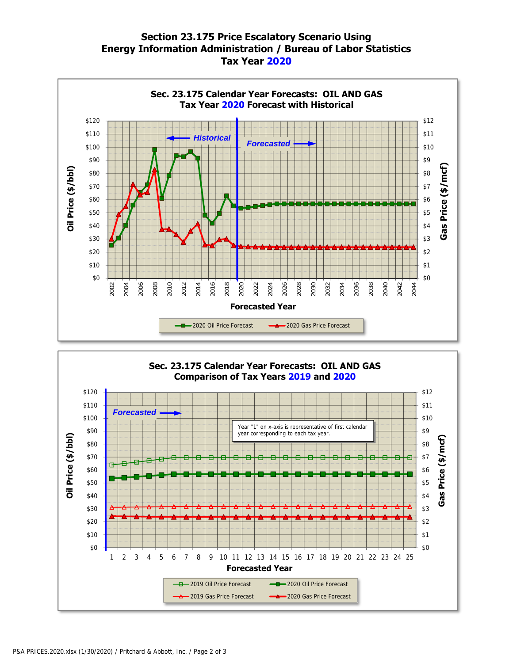## **Section 23.175 Price Escalatory Scenario Using Energy Information Administration / Bureau of Labor Statistics Tax Year 2020**